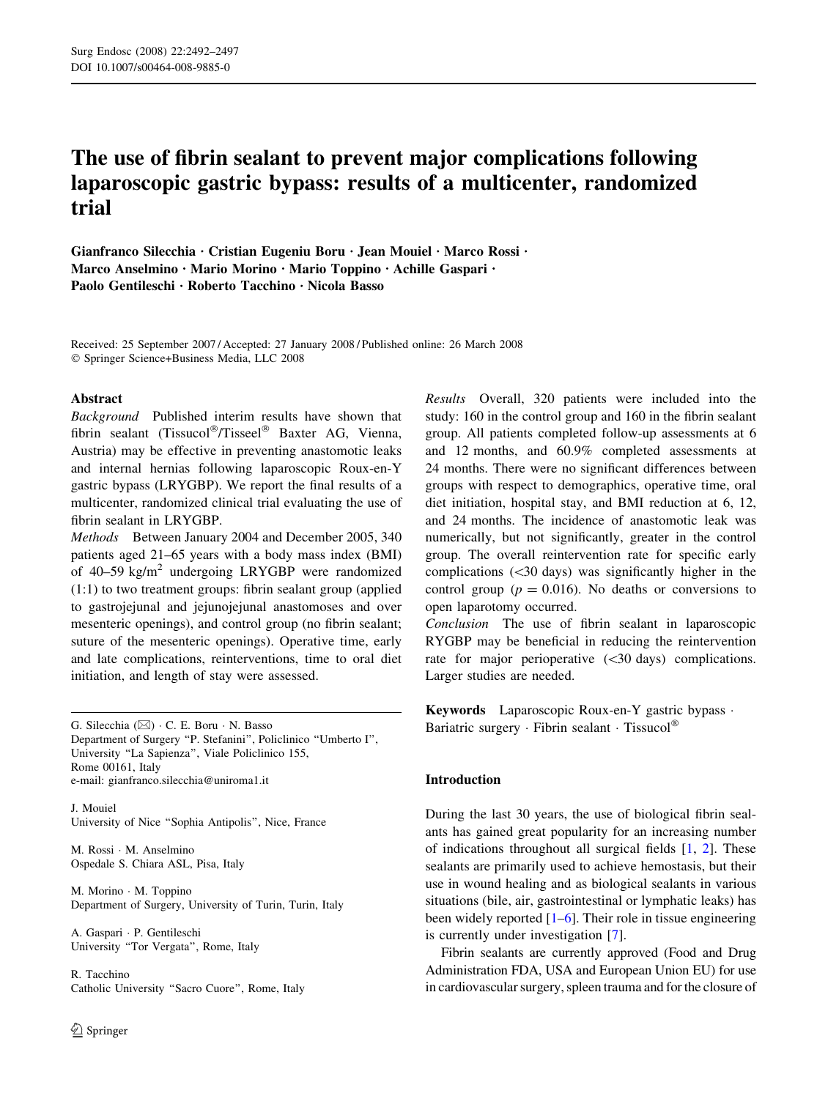# The use of fibrin sealant to prevent major complications following laparoscopic gastric bypass: results of a multicenter, randomized trial

Gianfranco Silecchia · Cristian Eugeniu Boru · Jean Mouiel · Marco Rossi · Marco Anselmino · Mario Morino · Mario Toppino · Achille Gaspari · Paolo Gentileschi · Roberto Tacchino · Nicola Basso

Received: 25 September 2007 / Accepted: 27 January 2008 / Published online: 26 March 2008 Springer Science+Business Media, LLC 2008

## Abstract

Background Published interim results have shown that fibrin sealant (Tissucol®/Tisseel® Baxter AG, Vienna, Austria) may be effective in preventing anastomotic leaks and internal hernias following laparoscopic Roux-en-Y gastric bypass (LRYGBP). We report the final results of a multicenter, randomized clinical trial evaluating the use of fibrin sealant in LRYGBP.

Methods Between January 2004 and December 2005, 340 patients aged 21–65 years with a body mass index (BMI) of 40–59 kg/m<sup>2</sup> undergoing LRYGBP were randomized (1:1) to two treatment groups: fibrin sealant group (applied to gastrojejunal and jejunojejunal anastomoses and over mesenteric openings), and control group (no fibrin sealant; suture of the mesenteric openings). Operative time, early and late complications, reinterventions, time to oral diet initiation, and length of stay were assessed.

G. Silecchia  $(\boxtimes) \cdot C$ . E. Boru  $\cdot N$ . Basso Department of Surgery ''P. Stefanini'', Policlinico ''Umberto I'', University ''La Sapienza'', Viale Policlinico 155, Rome 00161, Italy e-mail: gianfranco.silecchia@uniroma1.it

J. Mouiel University of Nice ''Sophia Antipolis'', Nice, France

M. Rossi · M. Anselmino Ospedale S. Chiara ASL, Pisa, Italy

M. Morino  $\cdot$  M. Toppino Department of Surgery, University of Turin, Turin, Italy

A. Gaspari · P. Gentileschi University ''Tor Vergata'', Rome, Italy

R. Tacchino Catholic University ''Sacro Cuore'', Rome, Italy Results Overall, 320 patients were included into the study: 160 in the control group and 160 in the fibrin sealant group. All patients completed follow-up assessments at 6 and 12 months, and 60.9% completed assessments at 24 months. There were no significant differences between groups with respect to demographics, operative time, oral diet initiation, hospital stay, and BMI reduction at 6, 12, and 24 months. The incidence of anastomotic leak was numerically, but not significantly, greater in the control group. The overall reintervention rate for specific early complications  $(\leq 30 \text{ days})$  was significantly higher in the control group ( $p = 0.016$ ). No deaths or conversions to open laparotomy occurred.

Conclusion The use of fibrin sealant in laparoscopic RYGBP may be beneficial in reducing the reintervention rate for major perioperative  $( $30 \text{ days}$ )$  complications. Larger studies are needed.

Keywords Laparoscopic Roux-en-Y gastric bypass · Bariatric surgery  $\cdot$  Fibrin sealant  $\cdot$  Tissucol®

# Introduction

During the last 30 years, the use of biological fibrin sealants has gained great popularity for an increasing number of indications throughout all surgical fields [[1,](#page-4-0) [2](#page-4-0)]. These sealants are primarily used to achieve hemostasis, but their use in wound healing and as biological sealants in various situations (bile, air, gastrointestinal or lymphatic leaks) has been widely reported  $[1-6]$ . Their role in tissue engineering is currently under investigation [\[7](#page-5-0)].

Fibrin sealants are currently approved (Food and Drug Administration FDA, USA and European Union EU) for use in cardiovascular surgery, spleen trauma and for the closure of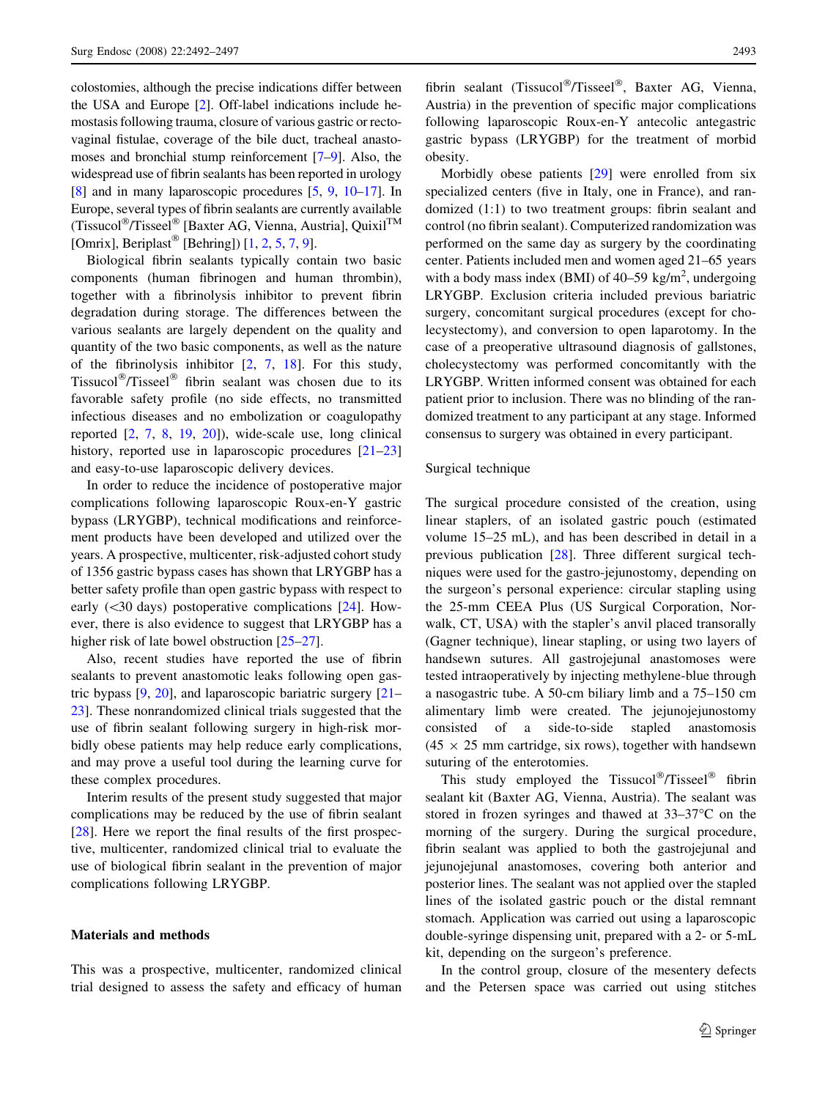colostomies, although the precise indications differ between the USA and Europe [\[2](#page-4-0)]. Off-label indications include hemostasis following trauma, closure of various gastric or rectovaginal fistulae, coverage of the bile duct, tracheal anastomoses and bronchial stump reinforcement [\[7–9\]](#page-5-0). Also, the widespread use of fibrin sealants has been reported in urology [\[8](#page-5-0)] and in many laparoscopic procedures [[5,](#page-4-0) [9,](#page-5-0) [10–17](#page-5-0)]. In Europe, several types of fibrin sealants are currently available (Tissucol®/Tisseel® [Baxter AG, Vienna, Austria], Quixil<sup>TM</sup> [Omrix], Beriplast® [Behring])  $[1, 2, 5, 7, 9]$  $[1, 2, 5, 7, 9]$  $[1, 2, 5, 7, 9]$  $[1, 2, 5, 7, 9]$  $[1, 2, 5, 7, 9]$  $[1, 2, 5, 7, 9]$  $[1, 2, 5, 7, 9]$  $[1, 2, 5, 7, 9]$  $[1, 2, 5, 7, 9]$  $[1, 2, 5, 7, 9]$ .

Biological fibrin sealants typically contain two basic components (human fibrinogen and human thrombin), together with a fibrinolysis inhibitor to prevent fibrin degradation during storage. The differences between the various sealants are largely dependent on the quality and quantity of the two basic components, as well as the nature of the fibrinolysis inhibitor [\[2](#page-4-0), [7,](#page-5-0) [18\]](#page-5-0). For this study, Tissucol<sup>®</sup>/Tisseel<sup>®</sup> fibrin sealant was chosen due to its favorable safety profile (no side effects, no transmitted infectious diseases and no embolization or coagulopathy reported [\[2](#page-4-0), [7](#page-5-0), [8](#page-5-0), [19,](#page-5-0) [20\]](#page-5-0)), wide-scale use, long clinical history, reported use in laparoscopic procedures [[21–23\]](#page-5-0) and easy-to-use laparoscopic delivery devices.

In order to reduce the incidence of postoperative major complications following laparoscopic Roux-en-Y gastric bypass (LRYGBP), technical modifications and reinforcement products have been developed and utilized over the years. A prospective, multicenter, risk-adjusted cohort study of 1356 gastric bypass cases has shown that LRYGBP has a better safety profile than open gastric bypass with respect to early  $(\leq 30 \text{ days})$  postoperative complications [\[24](#page-5-0)]. However, there is also evidence to suggest that LRYGBP has a higher risk of late bowel obstruction  $[25-27]$ .

Also, recent studies have reported the use of fibrin sealants to prevent anastomotic leaks following open gastric bypass [[9,](#page-5-0) [20](#page-5-0)], and laparoscopic bariatric surgery [\[21](#page-5-0)– [23\]](#page-5-0). These nonrandomized clinical trials suggested that the use of fibrin sealant following surgery in high-risk morbidly obese patients may help reduce early complications, and may prove a useful tool during the learning curve for these complex procedures.

Interim results of the present study suggested that major complications may be reduced by the use of fibrin sealant [\[28](#page-5-0)]. Here we report the final results of the first prospective, multicenter, randomized clinical trial to evaluate the use of biological fibrin sealant in the prevention of major complications following LRYGBP.

## Materials and methods

This was a prospective, multicenter, randomized clinical trial designed to assess the safety and efficacy of human

fibrin sealant (Tissucol®/Tisseel®, Baxter AG, Vienna, Austria) in the prevention of specific major complications following laparoscopic Roux-en-Y antecolic antegastric gastric bypass (LRYGBP) for the treatment of morbid obesity.

Morbidly obese patients [[29](#page-5-0)] were enrolled from six specialized centers (five in Italy, one in France), and randomized (1:1) to two treatment groups: fibrin sealant and control (no fibrin sealant). Computerized randomization was performed on the same day as surgery by the coordinating center. Patients included men and women aged 21–65 years with a body mass index (BMI) of  $40-59$  kg/m<sup>2</sup>, undergoing LRYGBP. Exclusion criteria included previous bariatric surgery, concomitant surgical procedures (except for cholecystectomy), and conversion to open laparotomy. In the case of a preoperative ultrasound diagnosis of gallstones, cholecystectomy was performed concomitantly with the LRYGBP. Written informed consent was obtained for each patient prior to inclusion. There was no blinding of the randomized treatment to any participant at any stage. Informed consensus to surgery was obtained in every participant.

## Surgical technique

The surgical procedure consisted of the creation, using linear staplers, of an isolated gastric pouch (estimated volume 15–25 mL), and has been described in detail in a previous publication [[28\]](#page-5-0). Three different surgical techniques were used for the gastro-jejunostomy, depending on the surgeon's personal experience: circular stapling using the 25-mm CEEA Plus (US Surgical Corporation, Norwalk, CT, USA) with the stapler's anvil placed transorally (Gagner technique), linear stapling, or using two layers of handsewn sutures. All gastrojejunal anastomoses were tested intraoperatively by injecting methylene-blue through a nasogastric tube. A 50-cm biliary limb and a 75–150 cm alimentary limb were created. The jejunojejunostomy consisted of a side-to-side stapled anastomosis  $(45 \times 25$  mm cartridge, six rows), together with handsewn suturing of the enterotomies.

This study employed the Tissucol®/Tisseel® fibrin sealant kit (Baxter AG, Vienna, Austria). The sealant was stored in frozen syringes and thawed at  $33-37$ °C on the morning of the surgery. During the surgical procedure, fibrin sealant was applied to both the gastrojejunal and jejunojejunal anastomoses, covering both anterior and posterior lines. The sealant was not applied over the stapled lines of the isolated gastric pouch or the distal remnant stomach. Application was carried out using a laparoscopic double-syringe dispensing unit, prepared with a 2- or 5-mL kit, depending on the surgeon's preference.

In the control group, closure of the mesentery defects and the Petersen space was carried out using stitches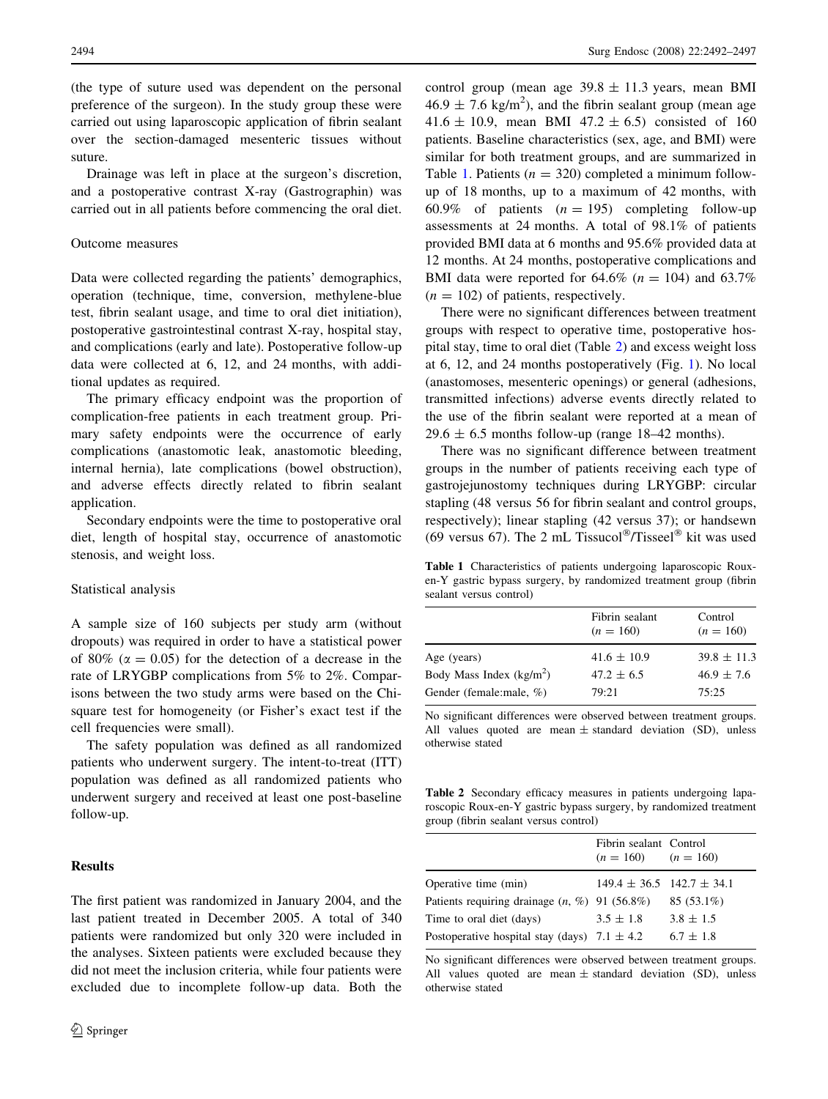(the type of suture used was dependent on the personal preference of the surgeon). In the study group these were carried out using laparoscopic application of fibrin sealant over the section-damaged mesenteric tissues without suture.

Drainage was left in place at the surgeon's discretion, and a postoperative contrast X-ray (Gastrographin) was carried out in all patients before commencing the oral diet.

#### Outcome measures

Data were collected regarding the patients' demographics, operation (technique, time, conversion, methylene-blue test, fibrin sealant usage, and time to oral diet initiation), postoperative gastrointestinal contrast X-ray, hospital stay, and complications (early and late). Postoperative follow-up data were collected at 6, 12, and 24 months, with additional updates as required.

The primary efficacy endpoint was the proportion of complication-free patients in each treatment group. Primary safety endpoints were the occurrence of early complications (anastomotic leak, anastomotic bleeding, internal hernia), late complications (bowel obstruction), and adverse effects directly related to fibrin sealant application.

Secondary endpoints were the time to postoperative oral diet, length of hospital stay, occurrence of anastomotic stenosis, and weight loss.

## Statistical analysis

A sample size of 160 subjects per study arm (without dropouts) was required in order to have a statistical power of 80% ( $\alpha$  = 0.05) for the detection of a decrease in the rate of LRYGBP complications from 5% to 2%. Comparisons between the two study arms were based on the Chisquare test for homogeneity (or Fisher's exact test if the cell frequencies were small).

The safety population was defined as all randomized patients who underwent surgery. The intent-to-treat (ITT) population was defined as all randomized patients who underwent surgery and received at least one post-baseline follow-up.

## Results

The first patient was randomized in January 2004, and the last patient treated in December 2005. A total of 340 patients were randomized but only 320 were included in the analyses. Sixteen patients were excluded because they did not meet the inclusion criteria, while four patients were excluded due to incomplete follow-up data. Both the control group (mean age  $39.8 \pm 11.3$  years, mean BMI  $46.9 \pm 7.6$  kg/m<sup>2</sup>), and the fibrin sealant group (mean age 41.6  $\pm$  10.9, mean BMI 47.2  $\pm$  6.5) consisted of 160 patients. Baseline characteristics (sex, age, and BMI) were similar for both treatment groups, and are summarized in Table 1. Patients ( $n = 320$ ) completed a minimum followup of 18 months, up to a maximum of 42 months, with 60.9% of patients  $(n = 195)$  completing follow-up assessments at 24 months. A total of 98.1% of patients provided BMI data at 6 months and 95.6% provided data at 12 months. At 24 months, postoperative complications and BMI data were reported for 64.6% ( $n = 104$ ) and 63.7%  $(n = 102)$  of patients, respectively.

There were no significant differences between treatment groups with respect to operative time, postoperative hospital stay, time to oral diet (Table 2) and excess weight loss at 6, 12, and 24 months postoperatively (Fig. [1\)](#page-3-0). No local (anastomoses, mesenteric openings) or general (adhesions, transmitted infections) adverse events directly related to the use of the fibrin sealant were reported at a mean of  $29.6 \pm 6.5$  months follow-up (range 18–42 months).

There was no significant difference between treatment groups in the number of patients receiving each type of gastrojejunostomy techniques during LRYGBP: circular stapling (48 versus 56 for fibrin sealant and control groups, respectively); linear stapling (42 versus 37); or handsewn (69 versus 67). The 2 mL Tissucol<sup>®</sup>/Tisseel<sup>®</sup> kit was used

Table 1 Characteristics of patients undergoing laparoscopic Rouxen-Y gastric bypass surgery, by randomized treatment group (fibrin sealant versus control)

|                           | Fibrin sealant<br>$(n = 160)$ | Control<br>$(n = 160)$ |
|---------------------------|-------------------------------|------------------------|
| Age (years)               | $41.6 \pm 10.9$               | $39.8 \pm 11.3$        |
| Body Mass Index $(kg/m2)$ | $47.2 \pm 6.5$                | $46.9 \pm 7.6$         |
| Gender (female:male, %)   | 79:21                         | 75:25                  |

No significant differences were observed between treatment groups. All values quoted are mean  $\pm$  standard deviation (SD), unless otherwise stated

Table 2 Secondary efficacy measures in patients undergoing laparoscopic Roux-en-Y gastric bypass surgery, by randomized treatment group (fibrin sealant versus control)

|                                                  | Fibrin sealant Control<br>$(n = 160)$ $(n = 160)$ |               |
|--------------------------------------------------|---------------------------------------------------|---------------|
| Operative time (min)                             | $149.4 \pm 36.5$ $142.7 \pm 34.1$                 |               |
| Patients requiring drainage $(n, \%)$ 91 (56.8%) |                                                   | $85(53.1\%)$  |
| Time to oral diet (days)                         | $3.5 \pm 1.8$                                     | $3.8 \pm 1.5$ |
| Postoperative hospital stay (days) $7.1 \pm 4.2$ |                                                   | $6.7 \pm 1.8$ |

No significant differences were observed between treatment groups. All values quoted are mean  $\pm$  standard deviation (SD), unless otherwise stated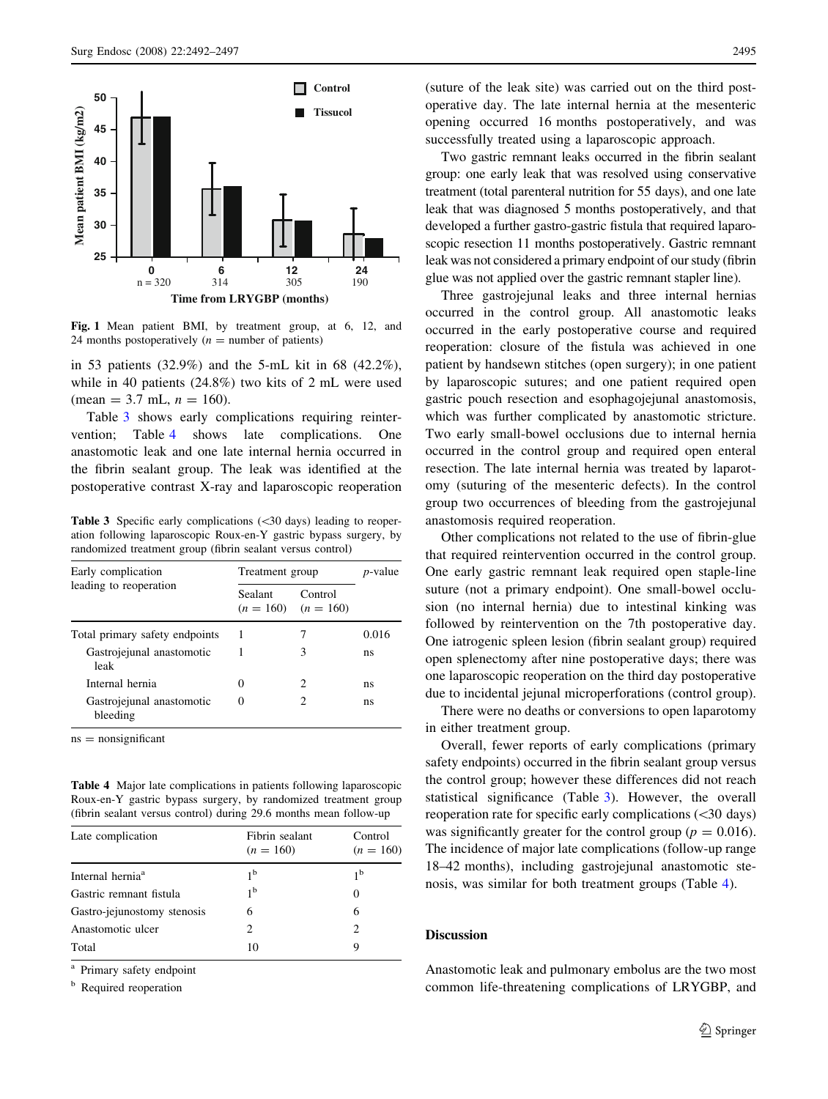<span id="page-3-0"></span>

Fig. 1 Mean patient BMI, by treatment group, at 6, 12, and 24 months postoperatively  $(n =$  number of patients)

in 53 patients (32.9%) and the 5-mL kit in 68 (42.2%), while in 40 patients (24.8%) two kits of 2 mL were used  $(\text{mean} = 3.7 \text{ mL}, n = 160).$ 

Table 3 shows early complications requiring reintervention; Table 4 shows late complications. One anastomotic leak and one late internal hernia occurred in the fibrin sealant group. The leak was identified at the postoperative contrast X-ray and laparoscopic reoperation

Table 3 Specific early complications (<30 days) leading to reoperation following laparoscopic Roux-en-Y gastric bypass surgery, by randomized treatment group (fibrin sealant versus control)

| Early complication<br>leading to reoperation | Treatment group |                                    | <i>p</i> -value |
|----------------------------------------------|-----------------|------------------------------------|-----------------|
|                                              | Sealant         | Control<br>$(n = 160)$ $(n = 160)$ |                 |
| Total primary safety endpoints               |                 |                                    | 0.016           |
| Gastrojejunal anastomotic<br>leak            |                 | 3                                  | ns              |
| Internal hernia                              | 0               | 2                                  | ns              |
| Gastrojejunal anastomotic<br>bleeding        | $\theta$        | 2                                  | ns              |

 $ns = nonsignificant$ 

Table 4 Major late complications in patients following laparoscopic Roux-en-Y gastric bypass surgery, by randomized treatment group (fibrin sealant versus control) during 29.6 months mean follow-up

| Late complication            | Fibrin sealant<br>$(n = 160)$ | Control<br>$(n = 160)$ |
|------------------------------|-------------------------------|------------------------|
| Internal hernia <sup>a</sup> | 1 <sup>b</sup>                | 1 <sup>b</sup>         |
| Gastric remnant fistula      | 1 <sup>b</sup>                | 0                      |
| Gastro-jejunostomy stenosis  | 6                             | 6                      |
| Anastomotic ulcer            | 2                             | 2                      |
| Total                        | 10                            | 9                      |

Primary safety endpoint

**b** Required reoperation

(suture of the leak site) was carried out on the third postoperative day. The late internal hernia at the mesenteric opening occurred 16 months postoperatively, and was successfully treated using a laparoscopic approach.

Two gastric remnant leaks occurred in the fibrin sealant group: one early leak that was resolved using conservative treatment (total parenteral nutrition for 55 days), and one late leak that was diagnosed 5 months postoperatively, and that developed a further gastro-gastric fistula that required laparoscopic resection 11 months postoperatively. Gastric remnant leak was not considered a primary endpoint of our study (fibrin glue was not applied over the gastric remnant stapler line).

Three gastrojejunal leaks and three internal hernias occurred in the control group. All anastomotic leaks occurred in the early postoperative course and required reoperation: closure of the fistula was achieved in one patient by handsewn stitches (open surgery); in one patient by laparoscopic sutures; and one patient required open gastric pouch resection and esophagojejunal anastomosis, which was further complicated by anastomotic stricture. Two early small-bowel occlusions due to internal hernia occurred in the control group and required open enteral resection. The late internal hernia was treated by laparotomy (suturing of the mesenteric defects). In the control group two occurrences of bleeding from the gastrojejunal anastomosis required reoperation.

Other complications not related to the use of fibrin-glue that required reintervention occurred in the control group. One early gastric remnant leak required open staple-line suture (not a primary endpoint). One small-bowel occlusion (no internal hernia) due to intestinal kinking was followed by reintervention on the 7th postoperative day. One iatrogenic spleen lesion (fibrin sealant group) required open splenectomy after nine postoperative days; there was one laparoscopic reoperation on the third day postoperative due to incidental jejunal microperforations (control group).

There were no deaths or conversions to open laparotomy in either treatment group.

Overall, fewer reports of early complications (primary safety endpoints) occurred in the fibrin sealant group versus the control group; however these differences did not reach statistical significance (Table 3). However, the overall reoperation rate for specific early complications  $( $30 \text{ days}$ )$ was significantly greater for the control group ( $p = 0.016$ ). The incidence of major late complications (follow-up range 18–42 months), including gastrojejunal anastomotic stenosis, was similar for both treatment groups (Table 4).

## Discussion

Anastomotic leak and pulmonary embolus are the two most common life-threatening complications of LRYGBP, and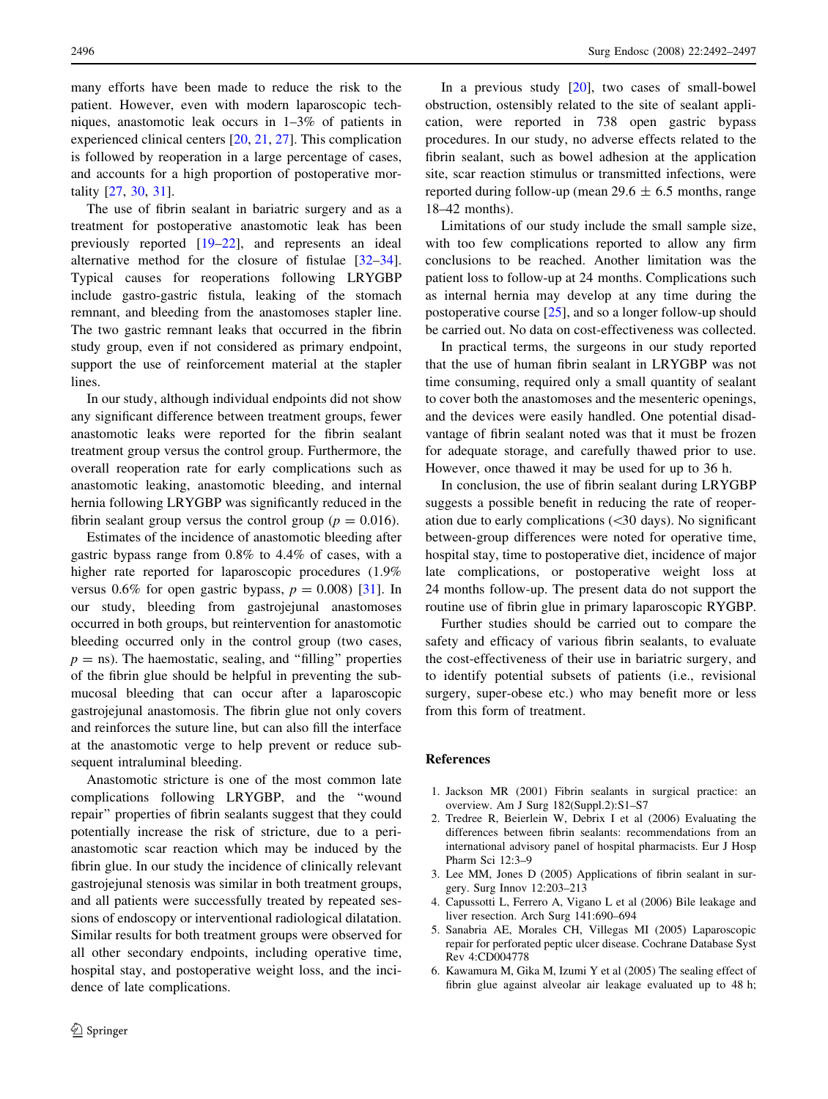<span id="page-4-0"></span>many efforts have been made to reduce the risk to the patient. However, even with modern laparoscopic techniques, anastomotic leak occurs in 1–3% of patients in experienced clinical centers [\[20](#page-5-0), [21](#page-5-0), [27](#page-5-0)]. This complication is followed by reoperation in a large percentage of cases, and accounts for a high proportion of postoperative mortality [\[27](#page-5-0), [30](#page-5-0), [31\]](#page-5-0).

The use of fibrin sealant in bariatric surgery and as a treatment for postoperative anastomotic leak has been previously reported [[19–22\]](#page-5-0), and represents an ideal alternative method for the closure of fistulae [\[32–34](#page-5-0)]. Typical causes for reoperations following LRYGBP include gastro-gastric fistula, leaking of the stomach remnant, and bleeding from the anastomoses stapler line. The two gastric remnant leaks that occurred in the fibrin study group, even if not considered as primary endpoint, support the use of reinforcement material at the stapler lines.

In our study, although individual endpoints did not show any significant difference between treatment groups, fewer anastomotic leaks were reported for the fibrin sealant treatment group versus the control group. Furthermore, the overall reoperation rate for early complications such as anastomotic leaking, anastomotic bleeding, and internal hernia following LRYGBP was significantly reduced in the fibrin sealant group versus the control group ( $p = 0.016$ ).

Estimates of the incidence of anastomotic bleeding after gastric bypass range from 0.8% to 4.4% of cases, with a higher rate reported for laparoscopic procedures (1.9% versus 0.6% for open gastric bypass,  $p = 0.008$  [\[31\]](#page-5-0). In our study, bleeding from gastrojejunal anastomoses occurred in both groups, but reintervention for anastomotic bleeding occurred only in the control group (two cases,  $p =$  ns). The haemostatic, sealing, and "filling" properties of the fibrin glue should be helpful in preventing the submucosal bleeding that can occur after a laparoscopic gastrojejunal anastomosis. The fibrin glue not only covers and reinforces the suture line, but can also fill the interface at the anastomotic verge to help prevent or reduce subsequent intraluminal bleeding.

Anastomotic stricture is one of the most common late complications following LRYGBP, and the ''wound repair'' properties of fibrin sealants suggest that they could potentially increase the risk of stricture, due to a perianastomotic scar reaction which may be induced by the fibrin glue. In our study the incidence of clinically relevant gastrojejunal stenosis was similar in both treatment groups, and all patients were successfully treated by repeated sessions of endoscopy or interventional radiological dilatation. Similar results for both treatment groups were observed for all other secondary endpoints, including operative time, hospital stay, and postoperative weight loss, and the incidence of late complications.

In a previous study [\[20](#page-5-0)], two cases of small-bowel obstruction, ostensibly related to the site of sealant application, were reported in 738 open gastric bypass procedures. In our study, no adverse effects related to the fibrin sealant, such as bowel adhesion at the application site, scar reaction stimulus or transmitted infections, were reported during follow-up (mean  $29.6 \pm 6.5$  months, range 18–42 months).

Limitations of our study include the small sample size, with too few complications reported to allow any firm conclusions to be reached. Another limitation was the patient loss to follow-up at 24 months. Complications such as internal hernia may develop at any time during the postoperative course [\[25](#page-5-0)], and so a longer follow-up should be carried out. No data on cost-effectiveness was collected.

In practical terms, the surgeons in our study reported that the use of human fibrin sealant in LRYGBP was not time consuming, required only a small quantity of sealant to cover both the anastomoses and the mesenteric openings, and the devices were easily handled. One potential disadvantage of fibrin sealant noted was that it must be frozen for adequate storage, and carefully thawed prior to use. However, once thawed it may be used for up to 36 h.

In conclusion, the use of fibrin sealant during LRYGBP suggests a possible benefit in reducing the rate of reoperation due to early complications  $( $30 \text{ days}$ ). No significant$ between-group differences were noted for operative time, hospital stay, time to postoperative diet, incidence of major late complications, or postoperative weight loss at 24 months follow-up. The present data do not support the routine use of fibrin glue in primary laparoscopic RYGBP.

Further studies should be carried out to compare the safety and efficacy of various fibrin sealants, to evaluate the cost-effectiveness of their use in bariatric surgery, and to identify potential subsets of patients (i.e., revisional surgery, super-obese etc.) who may benefit more or less from this form of treatment.

## References

- 1. Jackson MR (2001) Fibrin sealants in surgical practice: an overview. Am J Surg 182(Suppl.2):S1–S7
- 2. Tredree R, Beierlein W, Debrix I et al (2006) Evaluating the differences between fibrin sealants: recommendations from an international advisory panel of hospital pharmacists. Eur J Hosp Pharm Sci 12:3–9
- 3. Lee MM, Jones D (2005) Applications of fibrin sealant in surgery. Surg Innov 12:203–213
- 4. Capussotti L, Ferrero A, Vigano L et al (2006) Bile leakage and liver resection. Arch Surg 141:690–694
- 5. Sanabria AE, Morales CH, Villegas MI (2005) Laparoscopic repair for perforated peptic ulcer disease. Cochrane Database Syst Rev 4:CD004778
- 6. Kawamura M, Gika M, Izumi Y et al (2005) The sealing effect of fibrin glue against alveolar air leakage evaluated up to 48 h;